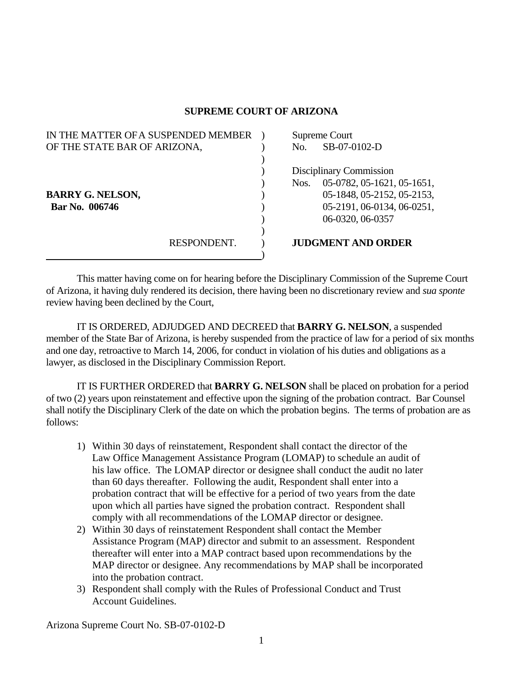## **SUPREME COURT OF ARIZONA**

| IN THE MATTER OF A SUSPENDED MEMBER |             |                         | Supreme Court              |  |
|-------------------------------------|-------------|-------------------------|----------------------------|--|
| OF THE STATE BAR OF ARIZONA,        |             | No.                     | SB-07-0102-D               |  |
|                                     |             |                         |                            |  |
|                                     |             | Disciplinary Commission |                            |  |
|                                     |             | Nos.                    | 05-0782, 05-1621, 05-1651, |  |
| <b>BARRY G. NELSON,</b>             |             |                         | 05-1848, 05-2152, 05-2153, |  |
| Bar No. 006746                      |             |                         | 05-2191, 06-0134, 06-0251, |  |
|                                     |             |                         | 06-0320, 06-0357           |  |
|                                     |             |                         |                            |  |
|                                     | RESPONDENT. |                         | <b>JUDGMENT AND ORDER</b>  |  |
|                                     |             |                         |                            |  |

 This matter having come on for hearing before the Disciplinary Commission of the Supreme Court of Arizona, it having duly rendered its decision, there having been no discretionary review and *sua sponte* review having been declined by the Court,

 IT IS ORDERED, ADJUDGED AND DECREED that **BARRY G. NELSON**, a suspended member of the State Bar of Arizona, is hereby suspended from the practice of law for a period of six months and one day, retroactive to March 14, 2006, for conduct in violation of his duties and obligations as a lawyer, as disclosed in the Disciplinary Commission Report.

 IT IS FURTHER ORDERED that **BARRY G. NELSON** shall be placed on probation for a period of two (2) years upon reinstatement and effective upon the signing of the probation contract. Bar Counsel shall notify the Disciplinary Clerk of the date on which the probation begins. The terms of probation are as follows:

- 1) Within 30 days of reinstatement, Respondent shall contact the director of the Law Office Management Assistance Program (LOMAP) to schedule an audit of his law office. The LOMAP director or designee shall conduct the audit no later than 60 days thereafter. Following the audit, Respondent shall enter into a probation contract that will be effective for a period of two years from the date upon which all parties have signed the probation contract. Respondent shall comply with all recommendations of the LOMAP director or designee.
- 2) Within 30 days of reinstatement Respondent shall contact the Member Assistance Program (MAP) director and submit to an assessment. Respondent thereafter will enter into a MAP contract based upon recommendations by the MAP director or designee. Any recommendations by MAP shall be incorporated into the probation contract.
- 3) Respondent shall comply with the Rules of Professional Conduct and Trust Account Guidelines.

Arizona Supreme Court No. SB-07-0102-D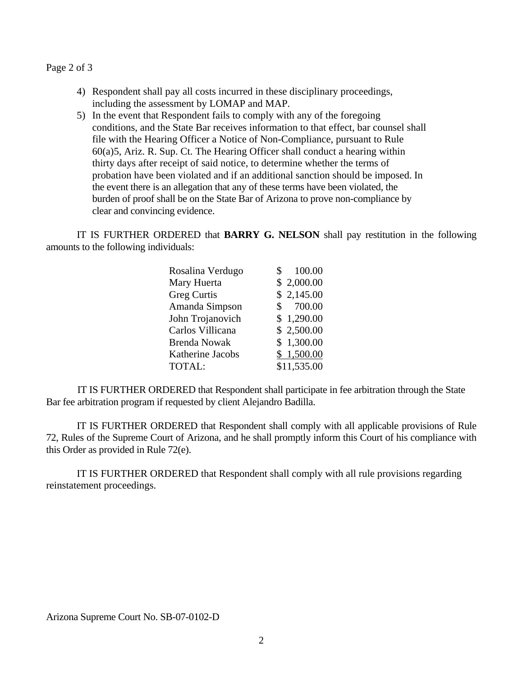## Page 2 of 3

- 4) Respondent shall pay all costs incurred in these disciplinary proceedings, including the assessment by LOMAP and MAP.
- 5) In the event that Respondent fails to comply with any of the foregoing conditions, and the State Bar receives information to that effect, bar counsel shall file with the Hearing Officer a Notice of Non-Compliance, pursuant to Rule 60(a)5, Ariz. R. Sup. Ct. The Hearing Officer shall conduct a hearing within thirty days after receipt of said notice, to determine whether the terms of probation have been violated and if an additional sanction should be imposed. In the event there is an allegation that any of these terms have been violated, the burden of proof shall be on the State Bar of Arizona to prove non-compliance by clear and convincing evidence.

 IT IS FURTHER ORDERED that **BARRY G. NELSON** shall pay restitution in the following amounts to the following individuals:

| Rosalina Verdugo    | 100.00      |
|---------------------|-------------|
| Mary Huerta         | \$2,000.00  |
| Greg Curtis         | \$2,145.00  |
| Amanda Simpson      | 700.00      |
| John Trojanovich    | \$1,290.00  |
| Carlos Villicana    | \$2,500.00  |
| <b>Brenda Nowak</b> | \$1,300.00  |
| Katherine Jacobs    | \$1,500.00  |
| TOTAL:              | \$11,535.00 |

 IT IS FURTHER ORDERED that Respondent shall participate in fee arbitration through the State Bar fee arbitration program if requested by client Alejandro Badilla.

 IT IS FURTHER ORDERED that Respondent shall comply with all applicable provisions of Rule 72, Rules of the Supreme Court of Arizona, and he shall promptly inform this Court of his compliance with this Order as provided in Rule 72(e).

 IT IS FURTHER ORDERED that Respondent shall comply with all rule provisions regarding reinstatement proceedings.

Arizona Supreme Court No. SB-07-0102-D